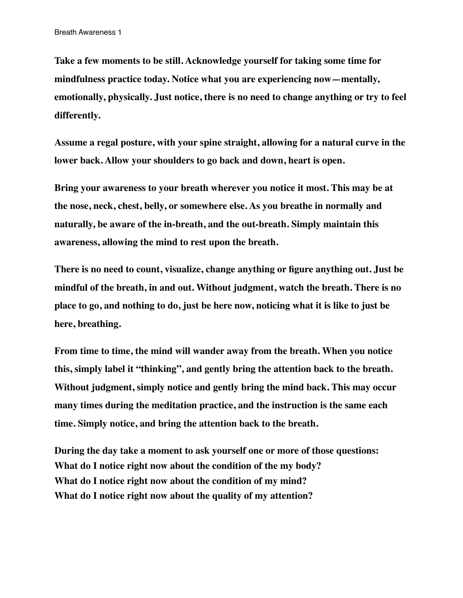**Take a few moments to be still. Acknowledge yourself for taking some time for mindfulness practice today. Notice what you are experiencing now—mentally, emotionally, physically. Just notice, there is no need to change anything or try to feel differently.** 

**Assume a regal posture, with your spine straight, allowing for a natural curve in the lower back. Allow your shoulders to go back and down, heart is open.** 

**Bring your awareness to your breath wherever you notice it most. This may be at the nose, neck, chest, belly, or somewhere else. As you breathe in normally and naturally, be aware of the in-breath, and the out-breath. Simply maintain this awareness, allowing the mind to rest upon the breath.** 

**There is no need to count, visualize, change anything or figure anything out. Just be mindful of the breath, in and out. Without judgment, watch the breath. There is no place to go, and nothing to do, just be here now, noticing what it is like to just be here, breathing.** 

**From time to time, the mind will wander away from the breath. When you notice this, simply label it "thinking", and gently bring the attention back to the breath. Without judgment, simply notice and gently bring the mind back. This may occur many times during the meditation practice, and the instruction is the same each time. Simply notice, and bring the attention back to the breath.**

**During the day take a moment to ask yourself one or more of those questions: What do I notice right now about the condition of the my body? What do I notice right now about the condition of my mind? What do I notice right now about the quality of my attention?**